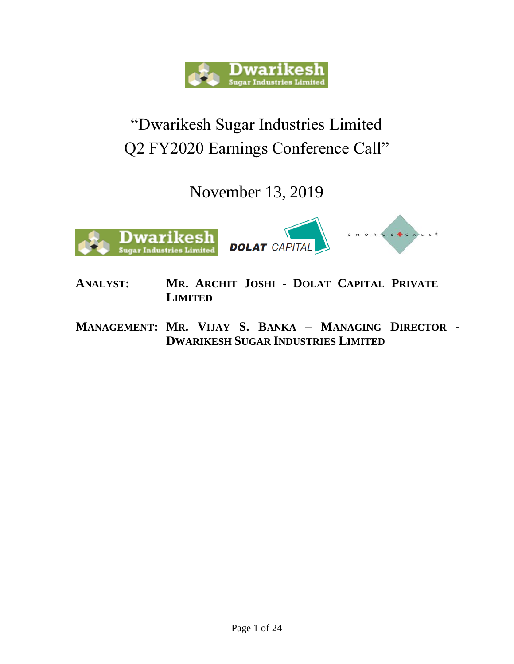

## "Dwarikesh Sugar Industries Limited Q2 FY2020 Earnings Conference Call"

November 13, 2019



- **ANALYST: MR. ARCHIT JOSHI - DOLAT CAPITAL PRIVATE LIMITED**
- **MANAGEMENT: MR. VIJAY S. BANKA – MANAGING DIRECTOR - DWARIKESH SUGAR INDUSTRIES LIMITED**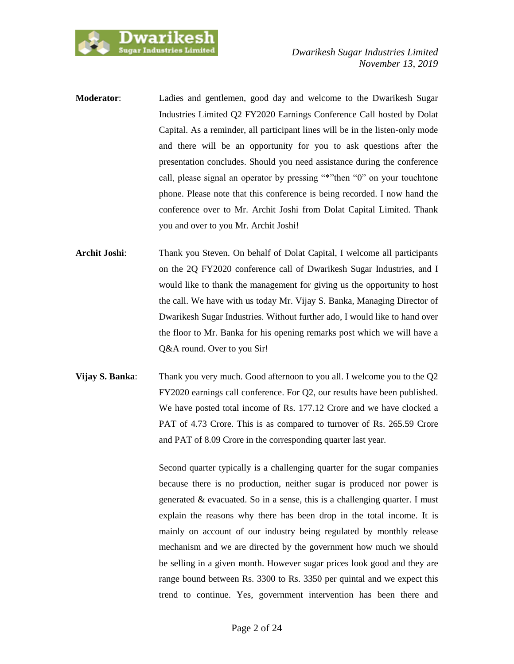

- **Moderator**: Ladies and gentlemen, good day and welcome to the Dwarikesh Sugar Industries Limited Q2 FY2020 Earnings Conference Call hosted by Dolat Capital. As a reminder, all participant lines will be in the listen-only mode and there will be an opportunity for you to ask questions after the presentation concludes. Should you need assistance during the conference call, please signal an operator by pressing "\*"then "0" on your touchtone phone. Please note that this conference is being recorded. I now hand the conference over to Mr. Archit Joshi from Dolat Capital Limited. Thank you and over to you Mr. Archit Joshi!
- **Archit Joshi**: Thank you Steven. On behalf of Dolat Capital, I welcome all participants on the 2Q FY2020 conference call of Dwarikesh Sugar Industries, and I would like to thank the management for giving us the opportunity to host the call. We have with us today Mr. Vijay S. Banka, Managing Director of Dwarikesh Sugar Industries. Without further ado, I would like to hand over the floor to Mr. Banka for his opening remarks post which we will have a Q&A round. Over to you Sir!
- **Vijay S. Banka**: Thank you very much. Good afternoon to you all. I welcome you to the Q2 FY2020 earnings call conference. For Q2, our results have been published. We have posted total income of Rs. 177.12 Crore and we have clocked a PAT of 4.73 Crore. This is as compared to turnover of Rs. 265.59 Crore and PAT of 8.09 Crore in the corresponding quarter last year.

Second quarter typically is a challenging quarter for the sugar companies because there is no production, neither sugar is produced nor power is generated  $\&$  evacuated. So in a sense, this is a challenging quarter. I must explain the reasons why there has been drop in the total income. It is mainly on account of our industry being regulated by monthly release mechanism and we are directed by the government how much we should be selling in a given month. However sugar prices look good and they are range bound between Rs. 3300 to Rs. 3350 per quintal and we expect this trend to continue. Yes, government intervention has been there and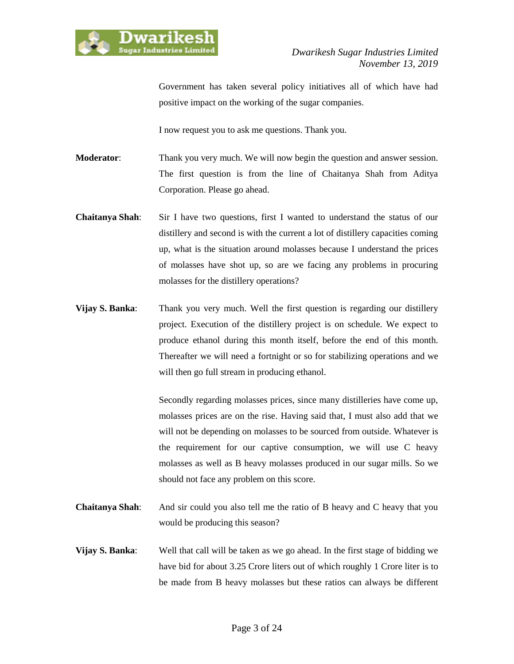

Government has taken several policy initiatives all of which have had positive impact on the working of the sugar companies.

I now request you to ask me questions. Thank you.

**Moderator:** Thank you very much. We will now begin the question and answer session. The first question is from the line of Chaitanya Shah from Aditya Corporation. Please go ahead.

- **Chaitanya Shah**: Sir I have two questions, first I wanted to understand the status of our distillery and second is with the current a lot of distillery capacities coming up, what is the situation around molasses because I understand the prices of molasses have shot up, so are we facing any problems in procuring molasses for the distillery operations?
- **Vijay S. Banka**: Thank you very much. Well the first question is regarding our distillery project. Execution of the distillery project is on schedule. We expect to produce ethanol during this month itself, before the end of this month. Thereafter we will need a fortnight or so for stabilizing operations and we will then go full stream in producing ethanol.

Secondly regarding molasses prices, since many distilleries have come up, molasses prices are on the rise. Having said that, I must also add that we will not be depending on molasses to be sourced from outside. Whatever is the requirement for our captive consumption, we will use C heavy molasses as well as B heavy molasses produced in our sugar mills. So we should not face any problem on this score.

- **Chaitanya Shah**: And sir could you also tell me the ratio of B heavy and C heavy that you would be producing this season?
- **Vijay S. Banka**: Well that call will be taken as we go ahead. In the first stage of bidding we have bid for about 3.25 Crore liters out of which roughly 1 Crore liter is to be made from B heavy molasses but these ratios can always be different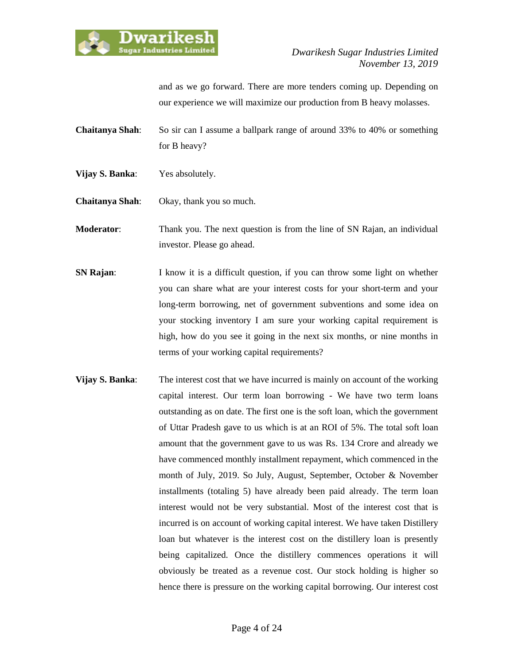

and as we go forward. There are more tenders coming up. Depending on our experience we will maximize our production from B heavy molasses.

**Chaitanya Shah**: So sir can I assume a ballpark range of around 33% to 40% or something for B heavy?

**Vijay S. Banka**: Yes absolutely.

**Chaitanya Shah**: Okay, thank you so much.

**Moderator**: Thank you. The next question is from the line of SN Rajan, an individual investor. Please go ahead.

- **SN Rajan:** I know it is a difficult question, if you can throw some light on whether you can share what are your interest costs for your short-term and your long-term borrowing, net of government subventions and some idea on your stocking inventory I am sure your working capital requirement is high, how do you see it going in the next six months, or nine months in terms of your working capital requirements?
- **Vijay S. Banka:** The interest cost that we have incurred is mainly on account of the working capital interest. Our term loan borrowing - We have two term loans outstanding as on date. The first one is the soft loan, which the government of Uttar Pradesh gave to us which is at an ROI of 5%. The total soft loan amount that the government gave to us was Rs. 134 Crore and already we have commenced monthly installment repayment, which commenced in the month of July, 2019. So July, August, September, October & November installments (totaling 5) have already been paid already. The term loan interest would not be very substantial. Most of the interest cost that is incurred is on account of working capital interest. We have taken Distillery loan but whatever is the interest cost on the distillery loan is presently being capitalized. Once the distillery commences operations it will obviously be treated as a revenue cost. Our stock holding is higher so hence there is pressure on the working capital borrowing. Our interest cost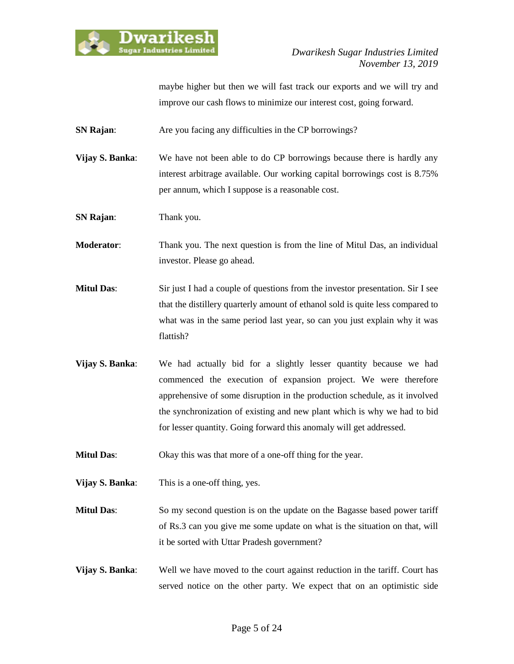

maybe higher but then we will fast track our exports and we will try and improve our cash flows to minimize our interest cost, going forward.

**SN Rajan:** Are you facing any difficulties in the CP borrowings?

**Vijay S. Banka:** We have not been able to do CP borrowings because there is hardly any interest arbitrage available. Our working capital borrowings cost is 8.75% per annum, which I suppose is a reasonable cost.

**SN Rajan:** Thank you.

**Moderator**: Thank you. The next question is from the line of Mitul Das, an individual investor. Please go ahead.

- **Mitul Das**: Sir just I had a couple of questions from the investor presentation. Sir I see that the distillery quarterly amount of ethanol sold is quite less compared to what was in the same period last year, so can you just explain why it was flattish?
- **Vijay S. Banka**: We had actually bid for a slightly lesser quantity because we had commenced the execution of expansion project. We were therefore apprehensive of some disruption in the production schedule, as it involved the synchronization of existing and new plant which is why we had to bid for lesser quantity. Going forward this anomaly will get addressed.

**Mitul Das:** Okay this was that more of a one-off thing for the year.

- **Vijay S. Banka**: This is a one-off thing, yes.
- **Mitul Das:** So my second question is on the update on the Bagasse based power tariff of Rs.3 can you give me some update on what is the situation on that, will it be sorted with Uttar Pradesh government?
- **Vijay S. Banka**: Well we have moved to the court against reduction in the tariff. Court has served notice on the other party. We expect that on an optimistic side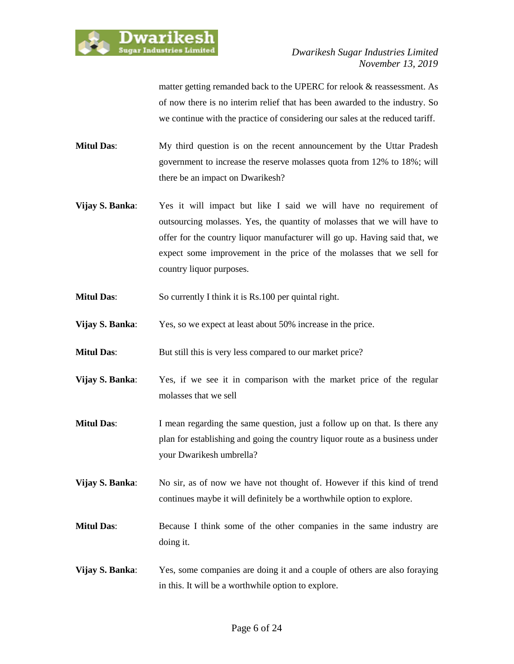

matter getting remanded back to the UPERC for relook & reassessment. As of now there is no interim relief that has been awarded to the industry. So we continue with the practice of considering our sales at the reduced tariff.

- **Mitul Das**: My third question is on the recent announcement by the Uttar Pradesh government to increase the reserve molasses quota from 12% to 18%; will there be an impact on Dwarikesh?
- **Vijay S. Banka**: Yes it will impact but like I said we will have no requirement of outsourcing molasses. Yes, the quantity of molasses that we will have to offer for the country liquor manufacturer will go up. Having said that, we expect some improvement in the price of the molasses that we sell for country liquor purposes.
- **Mitul Das:** So currently I think it is Rs.100 per quintal right.
- **Vijay S. Banka:** Yes, so we expect at least about 50% increase in the price.
- **Mitul Das:** But still this is very less compared to our market price?
- **Vijay S. Banka:** Yes, if we see it in comparison with the market price of the regular molasses that we sell
- **Mitul Das:** I mean regarding the same question, just a follow up on that. Is there any plan for establishing and going the country liquor route as a business under your Dwarikesh umbrella?
- **Vijay S. Banka:** No sir, as of now we have not thought of. However if this kind of trend continues maybe it will definitely be a worthwhile option to explore.
- **Mitul Das:** Because I think some of the other companies in the same industry are doing it.
- **Vijay S. Banka**: Yes, some companies are doing it and a couple of others are also foraying in this. It will be a worthwhile option to explore.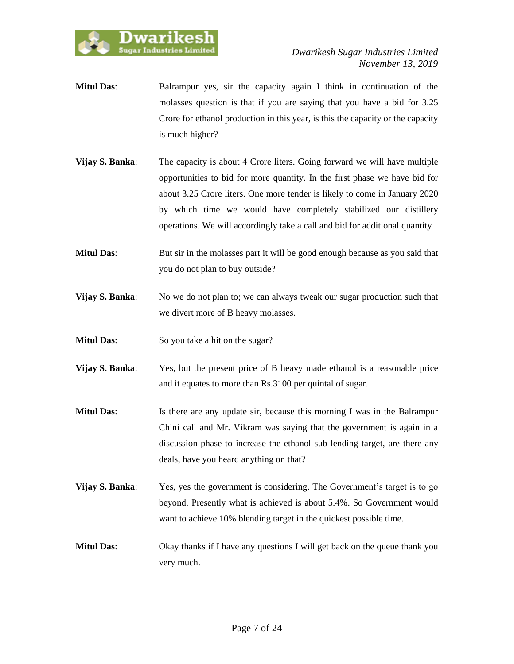

- **Mitul Das**: Balrampur yes, sir the capacity again I think in continuation of the molasses question is that if you are saying that you have a bid for 3.25 Crore for ethanol production in this year, is this the capacity or the capacity is much higher?
- **Vijay S. Banka**: The capacity is about 4 Crore liters. Going forward we will have multiple opportunities to bid for more quantity. In the first phase we have bid for about 3.25 Crore liters. One more tender is likely to come in January 2020 by which time we would have completely stabilized our distillery operations. We will accordingly take a call and bid for additional quantity
- **Mitul Das**: But sir in the molasses part it will be good enough because as you said that you do not plan to buy outside?
- **Vijay S. Banka:** No we do not plan to; we can always tweak our sugar production such that we divert more of B heavy molasses.
- **Mitul Das:** So you take a hit on the sugar?
- **Vijay S. Banka**: Yes, but the present price of B heavy made ethanol is a reasonable price and it equates to more than Rs.3100 per quintal of sugar.
- **Mitul Das:** Is there are any update sir, because this morning I was in the Balrampur Chini call and Mr. Vikram was saying that the government is again in a discussion phase to increase the ethanol sub lending target, are there any deals, have you heard anything on that?
- **Vijay S. Banka:** Yes, yes the government is considering. The Government's target is to go beyond. Presently what is achieved is about 5.4%. So Government would want to achieve 10% blending target in the quickest possible time.
- **Mitul Das:** Okay thanks if I have any questions I will get back on the queue thank you very much.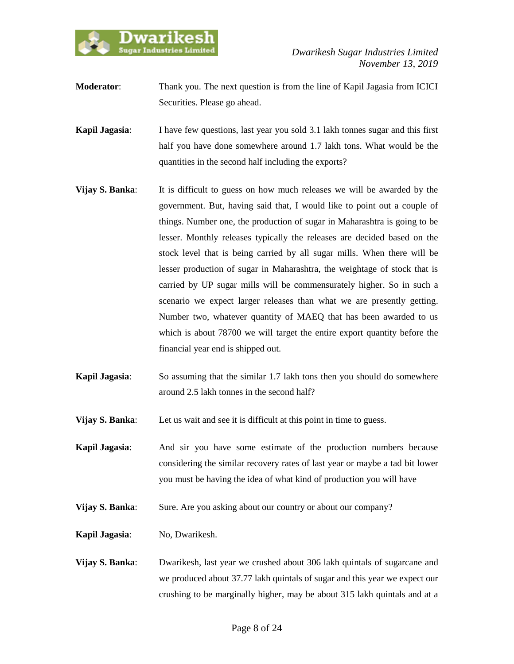

- **Moderator:** Thank you. The next question is from the line of Kapil Jagasia from ICICI Securities. Please go ahead.
- **Kapil Jagasia:** I have few questions, last year you sold 3.1 lakh tonnes sugar and this first half you have done somewhere around 1.7 lakh tons. What would be the quantities in the second half including the exports?
- **Vijay S. Banka**: It is difficult to guess on how much releases we will be awarded by the government. But, having said that, I would like to point out a couple of things. Number one, the production of sugar in Maharashtra is going to be lesser. Monthly releases typically the releases are decided based on the stock level that is being carried by all sugar mills. When there will be lesser production of sugar in Maharashtra, the weightage of stock that is carried by UP sugar mills will be commensurately higher. So in such a scenario we expect larger releases than what we are presently getting. Number two, whatever quantity of MAEQ that has been awarded to us which is about 78700 we will target the entire export quantity before the financial year end is shipped out.
- **Kapil Jagasia**: So assuming that the similar 1.7 lakh tons then you should do somewhere around 2.5 lakh tonnes in the second half?
- **Vijay S. Banka:** Let us wait and see it is difficult at this point in time to guess.
- **Kapil Jagasia**: And sir you have some estimate of the production numbers because considering the similar recovery rates of last year or maybe a tad bit lower you must be having the idea of what kind of production you will have
- **Vijay S. Banka:** Sure. Are you asking about our country or about our company?
- **Kapil Jagasia**: No, Dwarikesh.
- **Vijay S. Banka**: Dwarikesh, last year we crushed about 306 lakh quintals of sugarcane and we produced about 37.77 lakh quintals of sugar and this year we expect our crushing to be marginally higher, may be about 315 lakh quintals and at a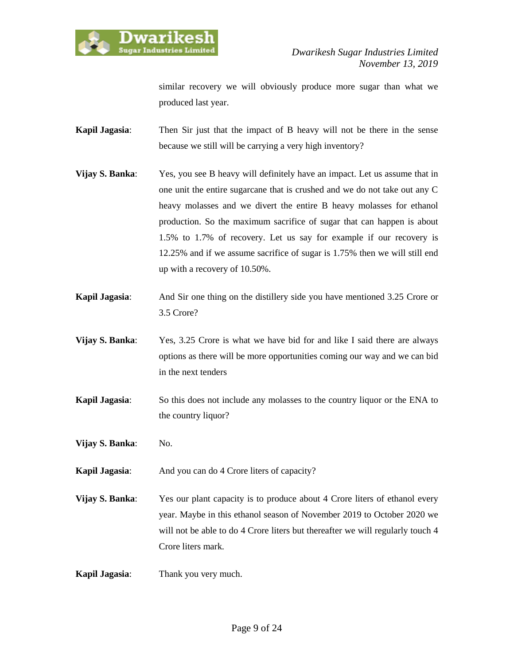

similar recovery we will obviously produce more sugar than what we produced last year.

**Kapil Jagasia**: Then Sir just that the impact of B heavy will not be there in the sense because we still will be carrying a very high inventory?

- **Vijay S. Banka:** Yes, you see B heavy will definitely have an impact. Let us assume that in one unit the entire sugarcane that is crushed and we do not take out any C heavy molasses and we divert the entire B heavy molasses for ethanol production. So the maximum sacrifice of sugar that can happen is about 1.5% to 1.7% of recovery. Let us say for example if our recovery is 12.25% and if we assume sacrifice of sugar is 1.75% then we will still end up with a recovery of 10.50%.
- **Kapil Jagasia**: And Sir one thing on the distillery side you have mentioned 3.25 Crore or 3.5 Crore?
- **Vijay S. Banka**: Yes, 3.25 Crore is what we have bid for and like I said there are always options as there will be more opportunities coming our way and we can bid in the next tenders
- **Kapil Jagasia**: So this does not include any molasses to the country liquor or the ENA to the country liquor?
- **Vijay S. Banka:** No.

**Kapil Jagasia:** And you can do 4 Crore liters of capacity?

- **Vijay S. Banka:** Yes our plant capacity is to produce about 4 Crore liters of ethanol every year. Maybe in this ethanol season of November 2019 to October 2020 we will not be able to do 4 Crore liters but thereafter we will regularly touch 4 Crore liters mark.
- **Kapil Jagasia**: Thank you very much.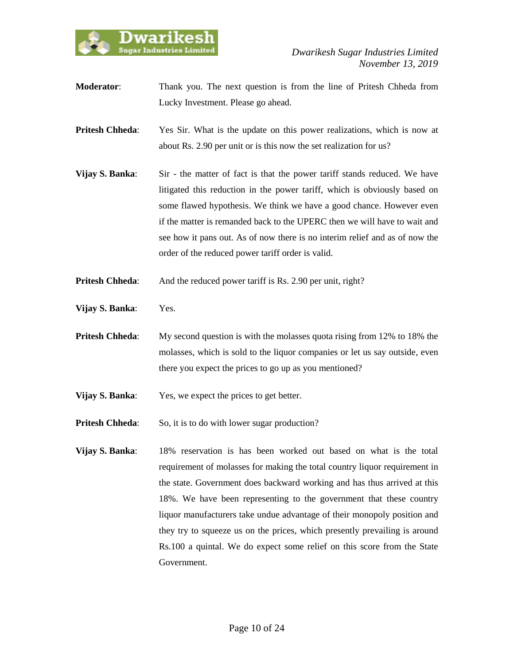

**Moderator**: Thank you. The next question is from the line of Pritesh Chheda from Lucky Investment. Please go ahead.

**Pritesh Chheda:** Yes Sir. What is the update on this power realizations, which is now at about Rs. 2.90 per unit or is this now the set realization for us?

- **Vijay S. Banka:** Sir the matter of fact is that the power tariff stands reduced. We have litigated this reduction in the power tariff, which is obviously based on some flawed hypothesis. We think we have a good chance. However even if the matter is remanded back to the UPERC then we will have to wait and see how it pans out. As of now there is no interim relief and as of now the order of the reduced power tariff order is valid.
- **Pritesh Chheda:** And the reduced power tariff is Rs. 2.90 per unit, right?
- **Vijay S. Banka**: Yes.
- **Pritesh Chheda:** My second question is with the molasses quota rising from 12% to 18% the molasses, which is sold to the liquor companies or let us say outside, even there you expect the prices to go up as you mentioned?
- **Vijay S. Banka:** Yes, we expect the prices to get better.
- **Pritesh Chheda:** So, it is to do with lower sugar production?
- **Vijay S. Banka**: 18% reservation is has been worked out based on what is the total requirement of molasses for making the total country liquor requirement in the state. Government does backward working and has thus arrived at this 18%. We have been representing to the government that these country liquor manufacturers take undue advantage of their monopoly position and they try to squeeze us on the prices, which presently prevailing is around Rs.100 a quintal. We do expect some relief on this score from the State Government.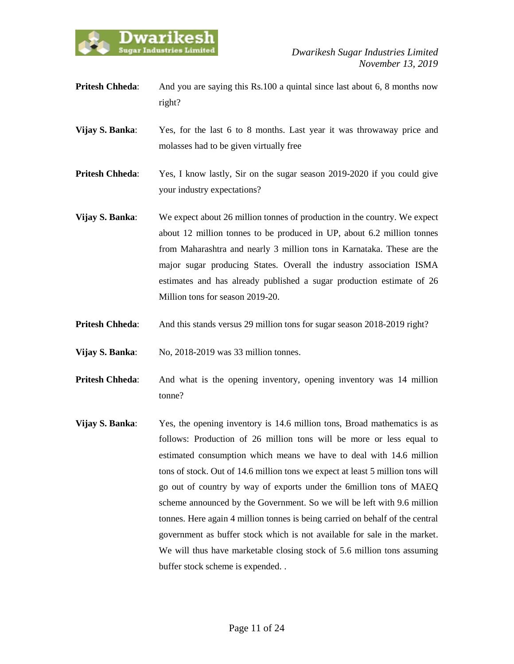

**Pritesh Chheda:** And you are saying this Rs.100 a quintal since last about 6, 8 months now right?

**Vijay S. Banka**: Yes, for the last 6 to 8 months. Last year it was throwaway price and molasses had to be given virtually free

**Pritesh Chheda:** Yes, I know lastly, Sir on the sugar season 2019-2020 if you could give your industry expectations?

- **Vijay S. Banka**: We expect about 26 million tonnes of production in the country. We expect about 12 million tonnes to be produced in UP, about 6.2 million tonnes from Maharashtra and nearly 3 million tons in Karnataka. These are the major sugar producing States. Overall the industry association ISMA estimates and has already published a sugar production estimate of 26 Million tons for season 2019-20.
- **Pritesh Chheda:** And this stands versus 29 million tons for sugar season 2018-2019 right?
- **Vijay S. Banka:** No, 2018-2019 was 33 million tonnes.
- **Pritesh Chheda:** And what is the opening inventory, opening inventory was 14 million tonne?
- **Vijay S. Banka**: Yes, the opening inventory is 14.6 million tons, Broad mathematics is as follows: Production of 26 million tons will be more or less equal to estimated consumption which means we have to deal with 14.6 million tons of stock. Out of 14.6 million tons we expect at least 5 million tons will go out of country by way of exports under the 6million tons of MAEQ scheme announced by the Government. So we will be left with 9.6 million tonnes. Here again 4 million tonnes is being carried on behalf of the central government as buffer stock which is not available for sale in the market. We will thus have marketable closing stock of 5.6 million tons assuming buffer stock scheme is expended. .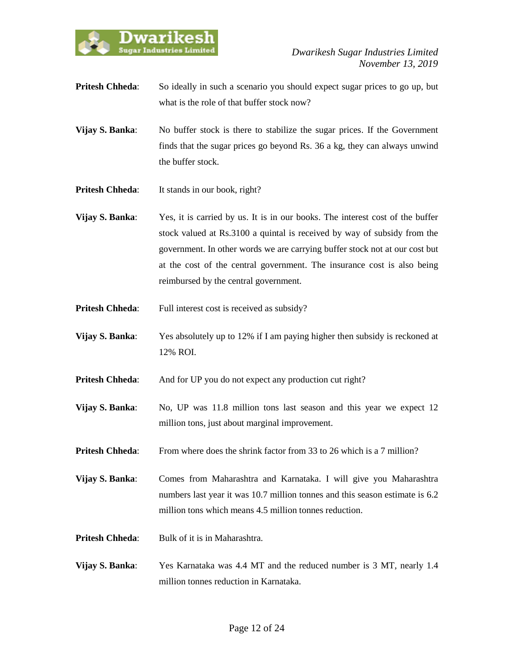

- **Pritesh Chheda:** So ideally in such a scenario you should expect sugar prices to go up, but what is the role of that buffer stock now?
- **Vijay S. Banka:** No buffer stock is there to stabilize the sugar prices. If the Government finds that the sugar prices go beyond Rs. 36 a kg, they can always unwind the buffer stock.
- **Pritesh Chheda:** It stands in our book, right?
- **Vijay S. Banka**: Yes, it is carried by us. It is in our books. The interest cost of the buffer stock valued at Rs.3100 a quintal is received by way of subsidy from the government. In other words we are carrying buffer stock not at our cost but at the cost of the central government. The insurance cost is also being reimbursed by the central government.
- **Pritesh Chheda:** Full interest cost is received as subsidy?
- **Vijay S. Banka:** Yes absolutely up to 12% if I am paying higher then subsidy is reckoned at 12% ROI.
- **Pritesh Chheda:** And for UP you do not expect any production cut right?
- **Vijay S. Banka:** No, UP was 11.8 million tons last season and this year we expect 12 million tons, just about marginal improvement.
- **Pritesh Chheda:** From where does the shrink factor from 33 to 26 which is a 7 million?

**Vijay S. Banka**: Comes from Maharashtra and Karnataka. I will give you Maharashtra numbers last year it was 10.7 million tonnes and this season estimate is 6.2 million tons which means 4.5 million tonnes reduction.

- **Pritesh Chheda:** Bulk of it is in Maharashtra.
- **Vijay S. Banka**: Yes Karnataka was 4.4 MT and the reduced number is 3 MT, nearly 1.4 million tonnes reduction in Karnataka.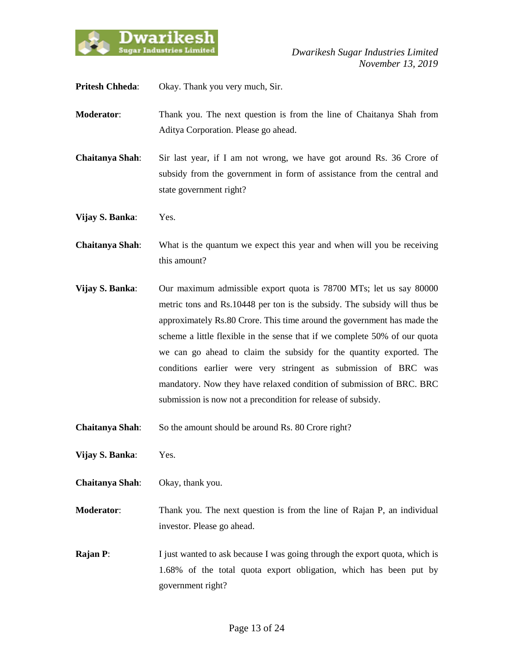

**Pritesh Chheda**: Okay. Thank you very much, Sir.

- **Moderator**: Thank you. The next question is from the line of Chaitanya Shah from Aditya Corporation. Please go ahead.
- **Chaitanya Shah**: Sir last year, if I am not wrong, we have got around Rs. 36 Crore of subsidy from the government in form of assistance from the central and state government right?
- **Vijay S. Banka**: Yes.
- **Chaitanya Shah**: What is the quantum we expect this year and when will you be receiving this amount?
- **Vijay S. Banka**: Our maximum admissible export quota is 78700 MTs; let us say 80000 metric tons and Rs.10448 per ton is the subsidy. The subsidy will thus be approximately Rs.80 Crore. This time around the government has made the scheme a little flexible in the sense that if we complete 50% of our quota we can go ahead to claim the subsidy for the quantity exported. The conditions earlier were very stringent as submission of BRC was mandatory. Now they have relaxed condition of submission of BRC. BRC submission is now not a precondition for release of subsidy.
- **Chaitanya Shah**: So the amount should be around Rs. 80 Crore right?
- **Vijay S. Banka**: Yes.
- **Chaitanya Shah**: Okay, thank you.
- **Moderator**: Thank you. The next question is from the line of Rajan P, an individual investor. Please go ahead.
- **Rajan P:** I just wanted to ask because I was going through the export quota, which is 1.68% of the total quota export obligation, which has been put by government right?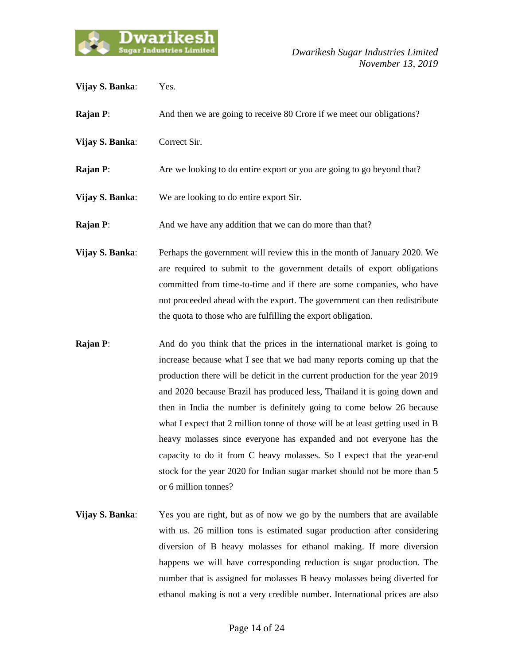

- **Vijay S. Banka**: Yes. **Rajan P:** And then we are going to receive 80 Crore if we meet our obligations? **Vijay S. Banka**: Correct Sir. **Rajan P:** Are we looking to do entire export or you are going to go beyond that? **Vijay S. Banka**: We are looking to do entire export Sir. **Rajan P:** And we have any addition that we can do more than that? **Vijay S. Banka:** Perhaps the government will review this in the month of January 2020. We are required to submit to the government details of export obligations committed from time-to-time and if there are some companies, who have not proceeded ahead with the export. The government can then redistribute the quota to those who are fulfilling the export obligation. **Rajan P:** And do you think that the prices in the international market is going to increase because what I see that we had many reports coming up that the production there will be deficit in the current production for the year 2019 and 2020 because Brazil has produced less, Thailand it is going down and
- then in India the number is definitely going to come below 26 because what I expect that 2 million tonne of those will be at least getting used in B heavy molasses since everyone has expanded and not everyone has the capacity to do it from C heavy molasses. So I expect that the year-end stock for the year 2020 for Indian sugar market should not be more than 5 or 6 million tonnes?
- **Vijay S. Banka**: Yes you are right, but as of now we go by the numbers that are available with us. 26 million tons is estimated sugar production after considering diversion of B heavy molasses for ethanol making. If more diversion happens we will have corresponding reduction is sugar production. The number that is assigned for molasses B heavy molasses being diverted for ethanol making is not a very credible number. International prices are also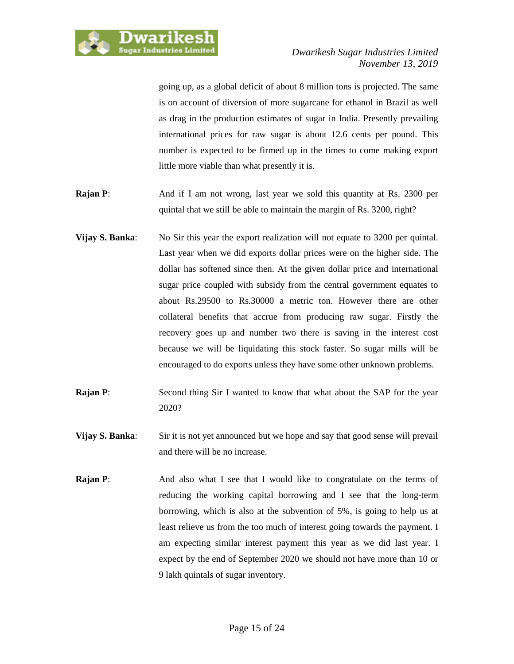

going up, as a global deficit of about 8 million tons is projected. The same is on account of diversion of more sugarcane for ethanol in Brazil as well as drag in the production estimates of sugar in India. Presently prevailing international prices for raw sugar is about 12.6 cents per pound. This number is expected to be firmed up in the times to come making export little more viable than what presently it is.

- **Rajan P:** And if I am not wrong, last year we sold this quantity at Rs. 2300 per quintal that we still be able to maintain the margin of Rs. 3200, right?
- **Vijay S. Banka:** No Sir this year the export realization will not equate to 3200 per quintal. Last year when we did exports dollar prices were on the higher side. The dollar has softened since then. At the given dollar price and international sugar price coupled with subsidy from the central government equates to about Rs.29500 to Rs.30000 a metric ton. However there are other collateral benefits that accrue from producing raw sugar. Firstly the recovery goes up and number two there is saving in the interest cost because we will be liquidating this stock faster. So sugar mills will be encouraged to do exports unless they have some other unknown problems.
- **Rajan P:** Second thing Sir I wanted to know that what about the SAP for the year 2020?
- **Vijay S. Banka:** Sir it is not yet announced but we hope and say that good sense will prevail and there will be no increase.
- **Rajan P:** And also what I see that I would like to congratulate on the terms of reducing the working capital borrowing and I see that the long-term borrowing, which is also at the subvention of 5%, is going to help us at least relieve us from the too much of interest going towards the payment. I am expecting similar interest payment this year as we did last year. I expect by the end of September 2020 we should not have more than 10 or 9 lakh quintals of sugar inventory.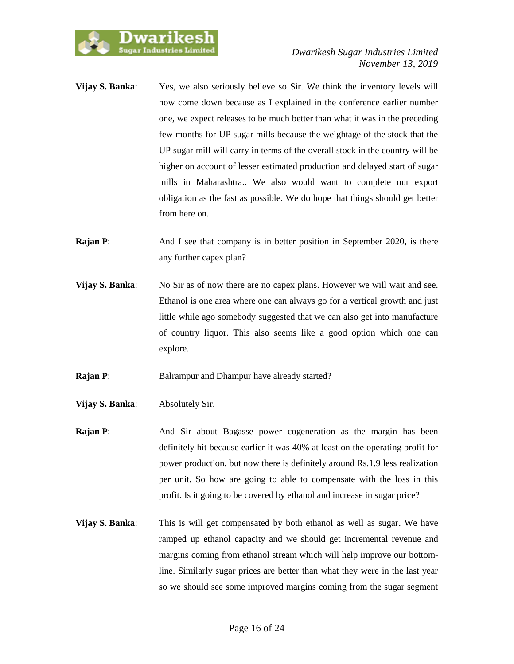

- **Vijay S. Banka:** Yes, we also seriously believe so Sir. We think the inventory levels will now come down because as I explained in the conference earlier number one, we expect releases to be much better than what it was in the preceding few months for UP sugar mills because the weightage of the stock that the UP sugar mill will carry in terms of the overall stock in the country will be higher on account of lesser estimated production and delayed start of sugar mills in Maharashtra.. We also would want to complete our export obligation as the fast as possible. We do hope that things should get better from here on.
- **Rajan P:** And I see that company is in better position in September 2020, is there any further capex plan?
- **Vijay S. Banka:** No Sir as of now there are no capex plans. However we will wait and see. Ethanol is one area where one can always go for a vertical growth and just little while ago somebody suggested that we can also get into manufacture of country liquor. This also seems like a good option which one can explore.
- **Rajan P:** Balrampur and Dhampur have already started?
- **Vijay S. Banka**: Absolutely Sir.
- **Rajan P:** And Sir about Bagasse power cogeneration as the margin has been definitely hit because earlier it was 40% at least on the operating profit for power production, but now there is definitely around Rs.1.9 less realization per unit. So how are going to able to compensate with the loss in this profit. Is it going to be covered by ethanol and increase in sugar price?
- **Vijay S. Banka:** This is will get compensated by both ethanol as well as sugar. We have ramped up ethanol capacity and we should get incremental revenue and margins coming from ethanol stream which will help improve our bottomline. Similarly sugar prices are better than what they were in the last year so we should see some improved margins coming from the sugar segment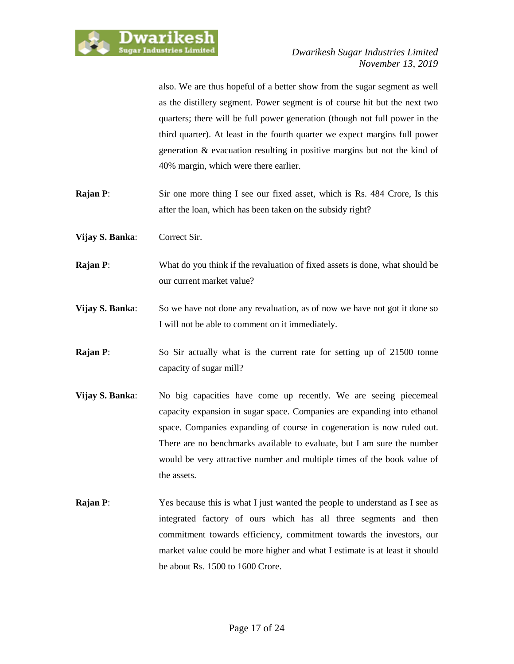

also. We are thus hopeful of a better show from the sugar segment as well as the distillery segment. Power segment is of course hit but the next two quarters; there will be full power generation (though not full power in the third quarter). At least in the fourth quarter we expect margins full power generation & evacuation resulting in positive margins but not the kind of 40% margin, which were there earlier.

- **Rajan P:** Sir one more thing I see our fixed asset, which is Rs. 484 Crore, Is this after the loan, which has been taken on the subsidy right?
- **Vijay S. Banka**: Correct Sir.
- **Rajan P:** What do you think if the revaluation of fixed assets is done, what should be our current market value?
- **Vijay S. Banka:** So we have not done any revaluation, as of now we have not got it done so I will not be able to comment on it immediately.
- **Rajan P:** So Sir actually what is the current rate for setting up of 21500 tonne capacity of sugar mill?
- **Vijay S. Banka:** No big capacities have come up recently. We are seeing piecemeal capacity expansion in sugar space. Companies are expanding into ethanol space. Companies expanding of course in cogeneration is now ruled out. There are no benchmarks available to evaluate, but I am sure the number would be very attractive number and multiple times of the book value of the assets.
- **Rajan P:** Yes because this is what I just wanted the people to understand as I see as integrated factory of ours which has all three segments and then commitment towards efficiency, commitment towards the investors, our market value could be more higher and what I estimate is at least it should be about Rs. 1500 to 1600 Crore.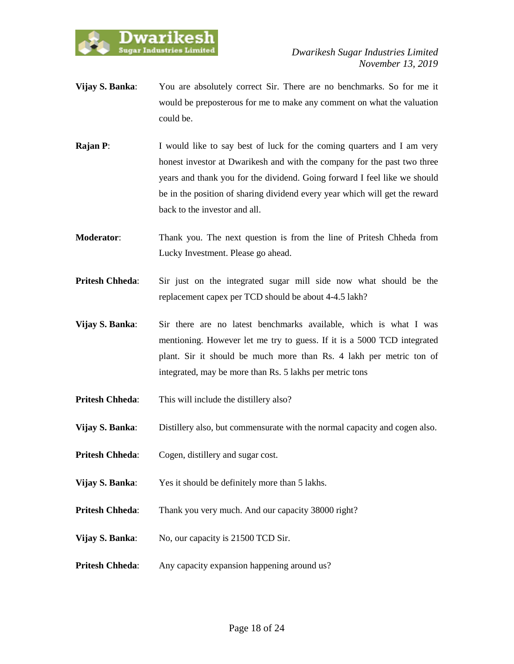

- **Vijay S. Banka**: You are absolutely correct Sir. There are no benchmarks. So for me it would be preposterous for me to make any comment on what the valuation could be.
- **Rajan P:** I would like to say best of luck for the coming quarters and I am very honest investor at Dwarikesh and with the company for the past two three years and thank you for the dividend. Going forward I feel like we should be in the position of sharing dividend every year which will get the reward back to the investor and all.
- **Moderator**: Thank you. The next question is from the line of Pritesh Chheda from Lucky Investment. Please go ahead.
- **Pritesh Chheda**: Sir just on the integrated sugar mill side now what should be the replacement capex per TCD should be about 4-4.5 lakh?
- **Vijay S. Banka**: Sir there are no latest benchmarks available, which is what I was mentioning. However let me try to guess. If it is a 5000 TCD integrated plant. Sir it should be much more than Rs. 4 lakh per metric ton of integrated, may be more than Rs. 5 lakhs per metric tons
- **Pritesh Chheda:** This will include the distillery also?
- **Vijay S. Banka**: Distillery also, but commensurate with the normal capacity and cogen also.
- **Pritesh Chheda:** Cogen, distillery and sugar cost.
- **Vijay S. Banka:** Yes it should be definitely more than 5 lakhs.
- **Pritesh Chheda:** Thank you very much. And our capacity 38000 right?
- **Vijay S. Banka:** No, our capacity is 21500 TCD Sir.
- **Pritesh Chheda:** Any capacity expansion happening around us?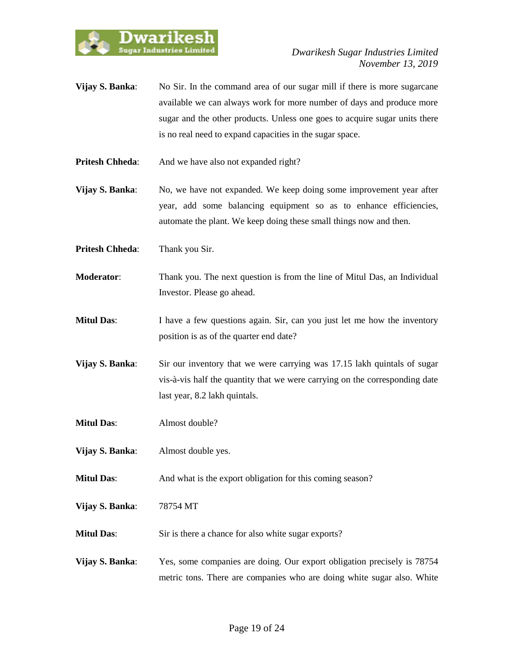

- **Vijay S. Banka:** No Sir. In the command area of our sugar mill if there is more sugarcane available we can always work for more number of days and produce more sugar and the other products. Unless one goes to acquire sugar units there is no real need to expand capacities in the sugar space.
- **Pritesh Chheda:** And we have also not expanded right?

**Vijay S. Banka:** No, we have not expanded. We keep doing some improvement year after year, add some balancing equipment so as to enhance efficiencies, automate the plant. We keep doing these small things now and then.

**Pritesh Chheda**: Thank you Sir.

- **Moderator**: Thank you. The next question is from the line of Mitul Das, an Individual Investor. Please go ahead.
- **Mitul Das:** I have a few questions again. Sir, can you just let me how the inventory position is as of the quarter end date?
- **Vijay S. Banka:** Sir our inventory that we were carrying was 17.15 lakh quintals of sugar vis-à-vis half the quantity that we were carrying on the corresponding date last year, 8.2 lakh quintals.
- **Mitul Das**: Almost double?
- **Vijay S. Banka**: Almost double yes.
- **Mitul Das:** And what is the export obligation for this coming season?

**Vijay S. Banka**: 78754 MT

- **Mitul Das:** Sir is there a chance for also white sugar exports?
- **Vijay S. Banka**: Yes, some companies are doing. Our export obligation precisely is 78754 metric tons. There are companies who are doing white sugar also. White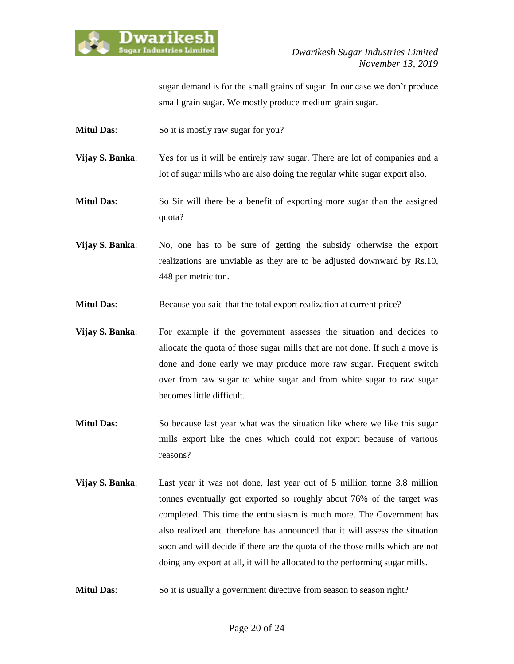

sugar demand is for the small grains of sugar. In our case we don't produce small grain sugar. We mostly produce medium grain sugar.

**Mitul Das:** So it is mostly raw sugar for you?

**Vijay S. Banka:** Yes for us it will be entirely raw sugar. There are lot of companies and a lot of sugar mills who are also doing the regular white sugar export also.

**Mitul Das**: So Sir will there be a benefit of exporting more sugar than the assigned quota?

**Vijay S. Banka:** No, one has to be sure of getting the subsidy otherwise the export realizations are unviable as they are to be adjusted downward by Rs.10, 448 per metric ton.

**Mitul Das:** Because you said that the total export realization at current price?

- **Vijay S. Banka:** For example if the government assesses the situation and decides to allocate the quota of those sugar mills that are not done. If such a move is done and done early we may produce more raw sugar. Frequent switch over from raw sugar to white sugar and from white sugar to raw sugar becomes little difficult.
- **Mitul Das:** So because last year what was the situation like where we like this sugar mills export like the ones which could not export because of various reasons?
- **Vijay S. Banka**: Last year it was not done, last year out of 5 million tonne 3.8 million tonnes eventually got exported so roughly about 76% of the target was completed. This time the enthusiasm is much more. The Government has also realized and therefore has announced that it will assess the situation soon and will decide if there are the quota of the those mills which are not doing any export at all, it will be allocated to the performing sugar mills.
- **Mitul Das:** So it is usually a government directive from season to season right?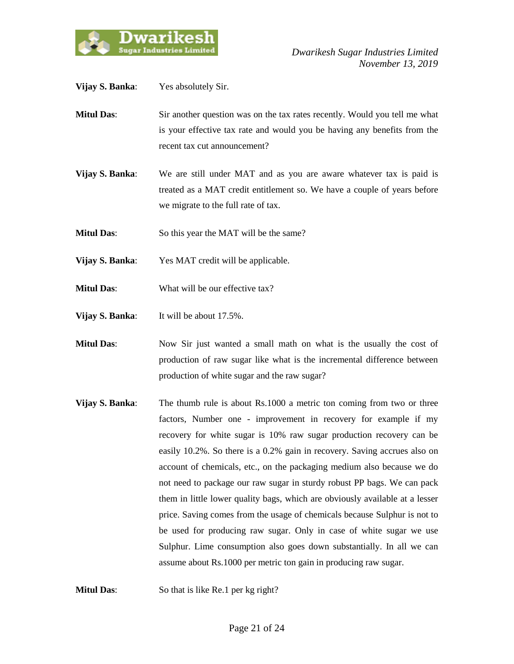

| Vijay S. Banka:   | Yes absolutely Sir.                                                                                                                                                                            |
|-------------------|------------------------------------------------------------------------------------------------------------------------------------------------------------------------------------------------|
| <b>Mitul Das:</b> | Sir another question was on the tax rates recently. Would you tell me what<br>is your effective tax rate and would you be having any benefits from the<br>recent tax cut announcement?         |
| Vijay S. Banka:   | We are still under MAT and as you are aware whatever tax is paid is<br>treated as a MAT credit entitlement so. We have a couple of years before<br>we migrate to the full rate of tax.         |
| <b>Mitul Das:</b> | So this year the MAT will be the same?                                                                                                                                                         |
| Vijay S. Banka:   | Yes MAT credit will be applicable.                                                                                                                                                             |
| <b>Mitul Das:</b> | What will be our effective tax?                                                                                                                                                                |
| Vijay S. Banka:   | It will be about 17.5%.                                                                                                                                                                        |
| <b>Mitul Das:</b> | Now Sir just wanted a small math on what is the usually the cost of<br>production of raw sugar like what is the incremental difference between<br>production of white sugar and the raw sugar? |
| Vijay S. Banka:   | The thumb rule is about Rs.1000 a metric ton coming from two or three<br>factors, Number one - improvement in recovery for example if my                                                       |

recovery for white sugar is 10% raw sugar production recovery can be easily 10.2%. So there is a 0.2% gain in recovery. Saving accrues also on account of chemicals, etc., on the packaging medium also because we do not need to package our raw sugar in sturdy robust PP bags. We can pack them in little lower quality bags, which are obviously available at a lesser price. Saving comes from the usage of chemicals because Sulphur is not to be used for producing raw sugar. Only in case of white sugar we use Sulphur. Lime consumption also goes down substantially. In all we can assume about Rs.1000 per metric ton gain in producing raw sugar.

**Mitul Das:** So that is like Re.1 per kg right?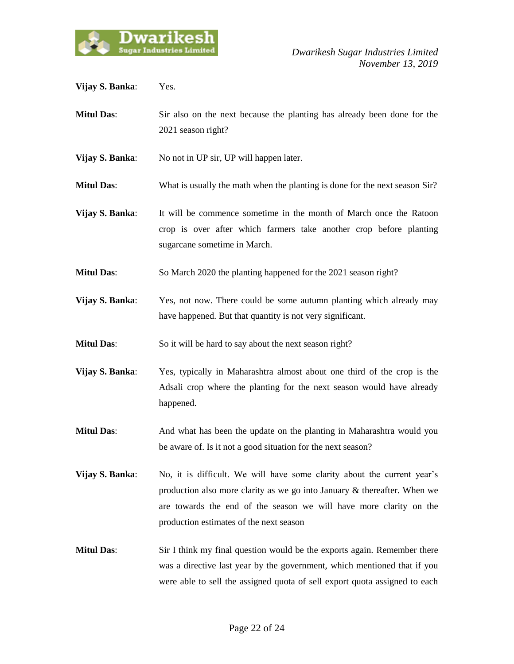

| Vijay S. Banka:   | Yes.                                                                                                                                                                                                                                                                 |
|-------------------|----------------------------------------------------------------------------------------------------------------------------------------------------------------------------------------------------------------------------------------------------------------------|
| <b>Mitul Das:</b> | Sir also on the next because the planting has already been done for the<br>2021 season right?                                                                                                                                                                        |
| Vijay S. Banka:   | No not in UP sir, UP will happen later.                                                                                                                                                                                                                              |
| <b>Mitul Das:</b> | What is usually the math when the planting is done for the next season Sir?                                                                                                                                                                                          |
| Vijay S. Banka:   | It will be commence sometime in the month of March once the Ratoon<br>crop is over after which farmers take another crop before planting<br>sugarcane sometime in March.                                                                                             |
| <b>Mitul Das:</b> | So March 2020 the planting happened for the 2021 season right?                                                                                                                                                                                                       |
| Vijay S. Banka:   | Yes, not now. There could be some autumn planting which already may<br>have happened. But that quantity is not very significant.                                                                                                                                     |
| <b>Mitul Das:</b> | So it will be hard to say about the next season right?                                                                                                                                                                                                               |
| Vijay S. Banka:   | Yes, typically in Maharashtra almost about one third of the crop is the<br>Adsali crop where the planting for the next season would have already<br>happened.                                                                                                        |
| <b>Mitul Das:</b> | And what has been the update on the planting in Maharashtra would you<br>be aware of. Is it not a good situation for the next season?                                                                                                                                |
| Vijay S. Banka:   | No, it is difficult. We will have some clarity about the current year's<br>production also more clarity as we go into January & thereafter. When we<br>are towards the end of the season we will have more clarity on the<br>production estimates of the next season |
| <b>Mitul Das:</b> | Sir I think my final question would be the exports again. Remember there<br>was a directive last year by the government, which mentioned that if you<br>were able to sell the assigned quota of sell export quota assigned to each                                   |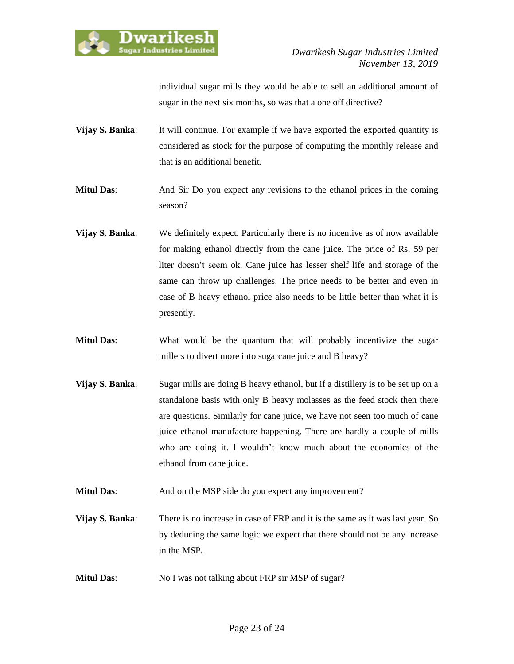

individual sugar mills they would be able to sell an additional amount of sugar in the next six months, so was that a one off directive?

**Vijay S. Banka:** It will continue. For example if we have exported the exported quantity is considered as stock for the purpose of computing the monthly release and that is an additional benefit.

**Mitul Das**: And Sir Do you expect any revisions to the ethanol prices in the coming season?

- **Vijay S. Banka**: We definitely expect. Particularly there is no incentive as of now available for making ethanol directly from the cane juice. The price of Rs. 59 per liter doesn't seem ok. Cane juice has lesser shelf life and storage of the same can throw up challenges. The price needs to be better and even in case of B heavy ethanol price also needs to be little better than what it is presently.
- **Mitul Das:** What would be the quantum that will probably incentivize the sugar millers to divert more into sugarcane juice and B heavy?
- **Vijay S. Banka:** Sugar mills are doing B heavy ethanol, but if a distillery is to be set up on a standalone basis with only B heavy molasses as the feed stock then there are questions. Similarly for cane juice, we have not seen too much of cane juice ethanol manufacture happening. There are hardly a couple of mills who are doing it. I wouldn't know much about the economics of the ethanol from cane juice.
- **Mitul Das:** And on the MSP side do you expect any improvement?
- **Vijay S. Banka**: There is no increase in case of FRP and it is the same as it was last year. So by deducing the same logic we expect that there should not be any increase in the MSP.
- **Mitul Das:** No I was not talking about FRP sir MSP of sugar?